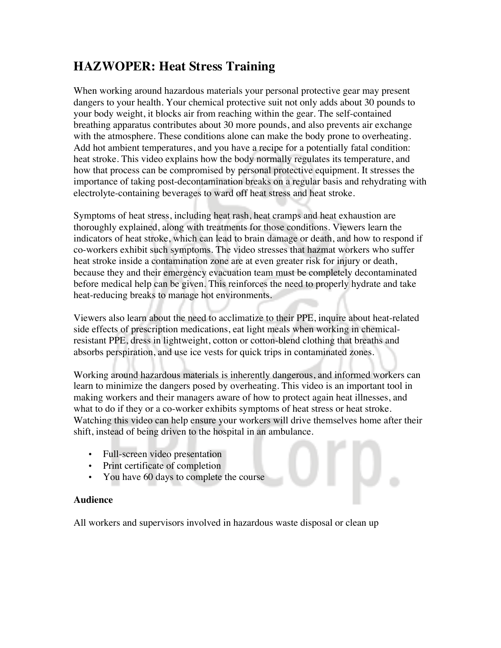## **HAZWOPER: Heat Stress Training**

When working around hazardous materials your personal protective gear may present dangers to your health. Your chemical protective suit not only adds about 30 pounds to your body weight, it blocks air from reaching within the gear. The self-contained breathing apparatus contributes about 30 more pounds, and also prevents air exchange with the atmosphere. These conditions alone can make the body prone to overheating. Add hot ambient temperatures, and you have a recipe for a potentially fatal condition: heat stroke. This video explains how the body normally regulates its temperature, and how that process can be compromised by personal protective equipment. It stresses the importance of taking post-decontamination breaks on a regular basis and rehydrating with electrolyte-containing beverages to ward off heat stress and heat stroke.

Symptoms of heat stress, including heat rash, heat cramps and heat exhaustion are thoroughly explained, along with treatments for those conditions. Viewers learn the indicators of heat stroke, which can lead to brain damage or death, and how to respond if co-workers exhibit such symptoms. The video stresses that hazmat workers who suffer heat stroke inside a contamination zone are at even greater risk for injury or death, because they and their emergency evacuation team must be completely decontaminated before medical help can be given. This reinforces the need to properly hydrate and take heat-reducing breaks to manage hot environments.

Viewers also learn about the need to acclimatize to their PPE, inquire about heat-related side effects of prescription medications, eat light meals when working in chemicalresistant PPE, dress in lightweight, cotton or cotton-blend clothing that breaths and absorbs perspiration, and use ice vests for quick trips in contaminated zones.

Working around hazardous materials is inherently dangerous, and informed workers can learn to minimize the dangers posed by overheating. This video is an important tool in making workers and their managers aware of how to protect again heat illnesses, and what to do if they or a co-worker exhibits symptoms of heat stress or heat stroke. Watching this video can help ensure your workers will drive themselves home after their shift, instead of being driven to the hospital in an ambulance.

- Full-screen video presentation
- Print certificate of completion
- You have 60 days to complete the course

## **Audience**

All workers and supervisors involved in hazardous waste disposal or clean up